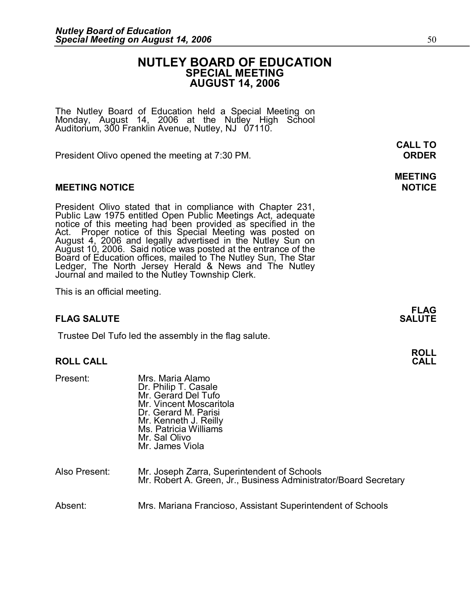# **NUTLEY BOARD OF EDUCATION SPECIAL MEETING AUGUST 14, 2006**

The Nutley Board of Education held a Special Meeting on Monday, August 14, 2006 at the Nutley High School Auditorium, 300 Franklin Avenue, Nutley, NJ 07110.

President Olivo opened the meeting at 7:30 PM. **ORDER** 

# **MEETING NOTICE NOTICE**

President Olivo stated that in compliance with Chapter 231,<br>Public Law 1975 entitled Open Public Meetings Act, adequate<br>notice of this meeting had been provided as specified in the<br>Act. Proper notice of this Special Meetin

This is an official meeting.

# **FLAG SALUTE**

Trustee Del Tufo led the assembly in the flag salute.

### **ROLL CALL CALL**

| <b>ROLL CALL</b> |                                                                                                                                                                                                          |  |
|------------------|----------------------------------------------------------------------------------------------------------------------------------------------------------------------------------------------------------|--|
| Present:         | Mrs. Maria Alamo<br>Dr. Philip T. Casale<br>Mr. Gerard Del Tufo<br>Mr. Vincent Moscaritola<br>Dr. Gerard M. Parisi<br>Mr. Kenneth J. Reilly<br>Ms. Patricia Williams<br>Mr. Sal Olivo<br>Mr. James Viola |  |
| Also Present:    | Mr. Joseph Zarra, Superintendent of Schools<br>Mr. Robert A. Green, Jr., Business Administrator/Board Secretary                                                                                          |  |
| Absent:          | Mrs. Mariana Francioso, Assistant Superintendent of Schools                                                                                                                                              |  |

**CALL TO**

**MEETING** 

**FLAG**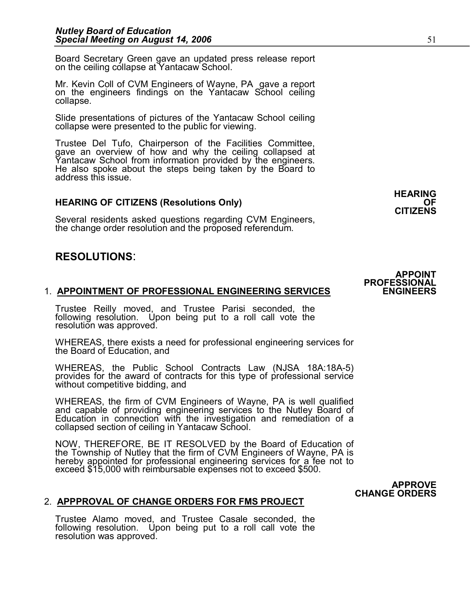Board Secretary Green gave an updated press release report on the ceiling collapse at Yantacaw School.

Mr. Kevin Coll of CVM Engineers of Wayne, PA gave a report on the engineers findings on the Yantacaw School ceiling collapse.

Slide presentations of pictures of the Yantacaw School ceiling collapse were presented to the public for viewing.

Trustee Del Tufo, Chairperson of the Facilities Committee, gave an overview of how and why the ceiling collapsed at Yantacaw School from information provided by the engineers. He also spoke about the steps being taken by t

## **HEARING OF CITIZENS (Resolutions Only)**

Several residents asked questions regarding CVM Engineers, the change order resolution and the proposed referendum.

# **RESOLUTIONS**:

# 1. **APPOINTMENT OF PROFESSIONAL ENGINEERING SERVICES ENGINEERS**

**APPOINTMENT OF PROFESSIONAL ENGINEERING SERVICES**<br>Trustee Reilly moved, and Trustee Parisi seconded, the<br>following resolution. Upon being put to a roll call vote the **APPOINTMENT OF PROFESSIONAL ENGINEERING SERVICES**<br>Trustee Reilly moved, and Trustee Parisi seconded, the<br>following resolution. Upon being put to a roll call vote the<br>resolution was approved.

WHEREAS, there exists a need for professional engineering services for the Board of Education, and

WHEREAS, the Public School Contracts Law (NJSA 18A:18A-5) provides for the award of contracts for this type of professional service without competitive bidding, and

WHEREAS, the firm of CVM Engineers of Wayne, PA is well qualified<br>and capable of providing engineering services to the Nutley Board of<br>Education in connection with the investigation and remediation of a<br>collapsed section o

Education in connection with the investigation and remediation of a<br>collapsed section of ceiling in Yantacaw School.<br>NOW, THEREFORE, BE IT RESOLVED by the Board of Education of<br>the Township of Nutlev that the firm of CVM E NOW, THEREFORE, BE IT RESOLVED by the Board of Education of<br>the Township of Nutley that the firm of CVM Engineers of Wayne, PA is<br>hereby appointed for professional engineering services for a fee not to<br>exceed \$15,

#### **CHANGE ORDERS** 2. **APPPROVAL OF CHANGE ORDERS FOR FMS PROJECT**

**APPPROVAL OF CHANGE ORDERS FOR FMS PROJECT**<br>Trustee Alamo moved, and Trustee Casale seconded, the<br>following resolution. Upon being put to a roll call vote the **APPPROVAL OF CHANGE ORDERS FOR FINS PROJECT**<br>Trustee Alamo moved, and Trustee Casale seconded, the<br>following resolution. Upon being put to a roll call vote the<br>resolution was approved.

# **APPOINT PROFESSIONAL**

**APPROVE** 

**HEARING** 

**CITIZENS**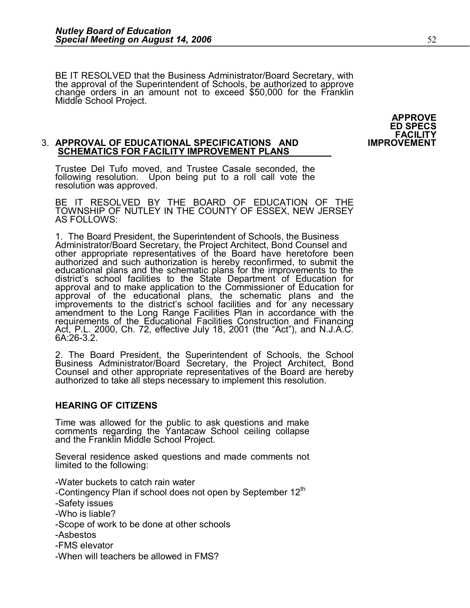BE IT RESOLVED that the Business Administrator/Board Secretary, with the approval of the Superintendent of Schools, be authorized to approve change orders in an amount not to exceed \$50,000 for the Franklin Middle School Project.

> **APPROVE ED SPECS FACILITY**<br>IMPROVEMENT

#### **3. APPROVAL OF EDUCATIONAL SPECIFICATIONS AND SCHEMATICS FOR FACILITY IMPROVEMENT PLANS**

APPROVAL OF EDUCATIONAL SPECIFICATIONS AND<br>SCHEMATICS FOR FACILITY IMPROVEMENT PLANS<br>Trustee Del Tufo moved, and Trustee Casale seconded, the<br>following resolution. Upon being put to a roll call vote the SCHEMATICS FOR FACILITY IMPROVEMENT PLANS<br>Trustee Del Tufo moved, and Trustee Casale seconded, the<br>following resolution. Upon being put to a roll call vote the<br>resolution was approved.

rollowing resolution. Upon being put to a roll call vote the<br>resolution was approved.<br>BE IT RESOLVED BY THE BOARD OF EDUCATION OF THE<br>TOWNSHIP OF NUTLEY IN THE COUNTY OF ESSEX, NEW JERSEY AS FOLLOWS:

TOWNSHIP OF NOTLEY IN THE COUNTY OF ESSEX, NEW JERSEY<br>AS FOLLOWS:<br>1. The Board President, the Superintendent of Schools, the Business<br>Administrator/Board Secretary, the Project Architect, Bond Counsel and<br>other appropriate district s school racilities to the State Department of Education for<br>approval and to make application to the Commissioner of Education for<br>approval of the educational plans, the schematic plans and the<br>improvements to the

requirements of the Educational Facilities Construction and Financing<br>Act, P.L. 2000, Ch. 72, effective July 18, 2001 (the "Act"), and N.J.A.C.<br>6A:26-3.2.<br>2. The Board President, the Superintendent of Schools, the School<br>B

# **HEARING OF CITIZENS**

Time was allowed for the public to ask questions and make comments regarding the Yantacaw School ceiling collapse and the Franklin Middle School Project.

comments regarding the Yantacaw School celling collapse<br>and the Franklin Middle School Project.<br>Several residence asked questions and made comments not<br>limited to the following:

Water buckets to catch rain water

- -Contingency Plan if school does not open by September  $12<sup>th</sup>$
- Safety issues
- Who is liable?
- Scope of work to be done at other schools
- Asbestos
- FMS elevator
- When will teachers be allowed in FMS?